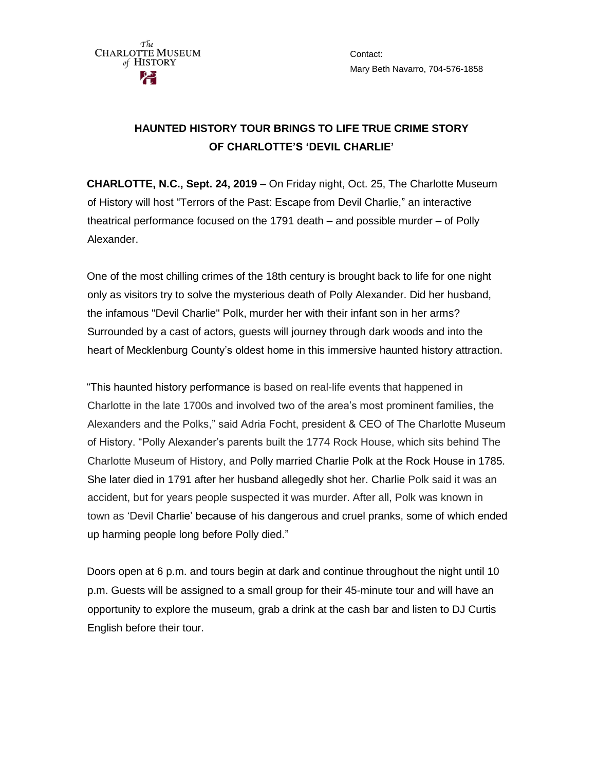

Contact: Mary Beth Navarro, 704-576-1858

## **HAUNTED HISTORY TOUR BRINGS TO LIFE TRUE CRIME STORY OF CHARLOTTE'S 'DEVIL CHARLIE'**

**CHARLOTTE, N.C., Sept. 24, 2019** – On Friday night, Oct. 25, The Charlotte Museum of History will host "Terrors of the Past: Escape from Devil Charlie," an interactive theatrical performance focused on the 1791 death – and possible murder – of Polly Alexander.

One of the most chilling crimes of the 18th century is brought back to life for one night only as visitors try to solve the mysterious death of Polly Alexander. Did her husband, the infamous "Devil Charlie" Polk, murder her with their infant son in her arms? Surrounded by a cast of actors, guests will journey through dark woods and into the heart of Mecklenburg County's oldest home in this immersive haunted history attraction.

"This haunted history performance is based on real-life events that happened in Charlotte in the late 1700s and involved two of the area's most prominent families, the Alexanders and the Polks," said Adria Focht, president & CEO of The Charlotte Museum of History. "Polly Alexander's parents built the 1774 Rock House, which sits behind The Charlotte Museum of History, and Polly married Charlie Polk at the Rock House in 1785. She later died in 1791 after her husband allegedly shot her. Charlie Polk said it was an accident, but for years people suspected it was murder. After all, Polk was known in town as 'Devil Charlie' because of his dangerous and cruel pranks, some of which ended up harming people long before Polly died."

Doors open at 6 p.m. and tours begin at dark and continue throughout the night until 10 p.m. Guests will be assigned to a small group for their 45-minute tour and will have an opportunity to explore the museum, grab a drink at the cash bar and listen to DJ Curtis English before their tour.